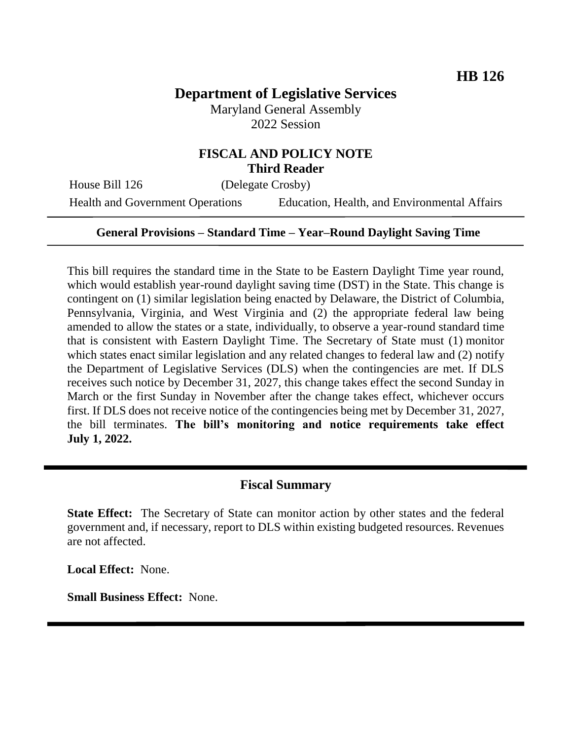# **Department of Legislative Services**

Maryland General Assembly 2022 Session

## **FISCAL AND POLICY NOTE Third Reader**

House Bill 126 (Delegate Crosby)

Health and Government Operations Education, Health, and Environmental Affairs

#### **General Provisions – Standard Time – Year–Round Daylight Saving Time**

This bill requires the standard time in the State to be Eastern Daylight Time year round, which would establish year-round daylight saving time (DST) in the State. This change is contingent on (1) similar legislation being enacted by Delaware, the District of Columbia, Pennsylvania, Virginia, and West Virginia and (2) the appropriate federal law being amended to allow the states or a state, individually, to observe a year-round standard time that is consistent with Eastern Daylight Time. The Secretary of State must (1) monitor which states enact similar legislation and any related changes to federal law and (2) notify the Department of Legislative Services (DLS) when the contingencies are met. If DLS receives such notice by December 31, 2027, this change takes effect the second Sunday in March or the first Sunday in November after the change takes effect, whichever occurs first. If DLS does not receive notice of the contingencies being met by December 31, 2027, the bill terminates. **The bill's monitoring and notice requirements take effect July 1, 2022.**

### **Fiscal Summary**

**State Effect:** The Secretary of State can monitor action by other states and the federal government and, if necessary, report to DLS within existing budgeted resources. Revenues are not affected.

**Local Effect:** None.

**Small Business Effect:** None.